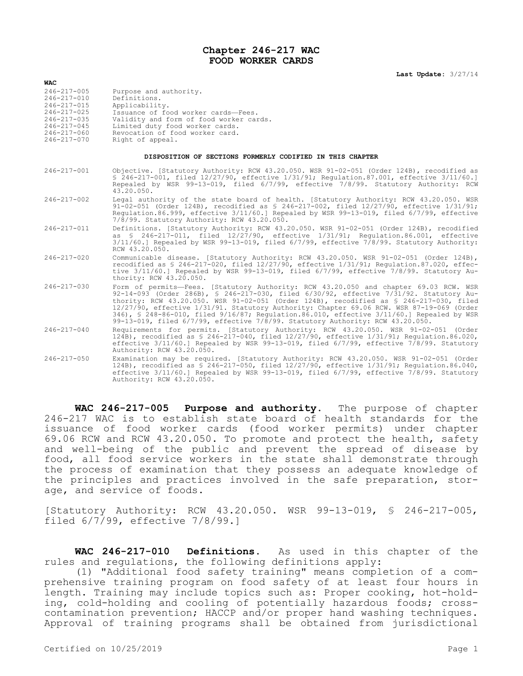## **Chapter 246-217 WAC FOOD WORKER CARDS**

| $246 - 217 - 005$<br>Purpose and authority.                                                                                                                                                                                                                                                                                                                   |  |
|---------------------------------------------------------------------------------------------------------------------------------------------------------------------------------------------------------------------------------------------------------------------------------------------------------------------------------------------------------------|--|
| Definitions.<br>$246 - 217 - 010$<br>$246 - 217 - 015$<br>Applicability.<br>$246 - 217 - 025$<br>Issuance of food worker cards-Fees.<br>$246 - 217 - 035$<br>Validity and form of food worker cards.<br>$246 - 217 - 045$<br>Limited duty food worker cards.<br>Revocation of food worker card.<br>$246 - 217 - 060$<br>$246 - 217 - 070$<br>Right of appeal. |  |

## **DISPOSITION OF SECTIONS FORMERLY CODIFIED IN THIS CHAPTER**

- 246-217-001 Objective. [Statutory Authority: RCW 43.20.050. WSR 91-02-051 (Order 124B), recodified as § 246-217-001, filed 12/27/90, effective 1/31/91; Regulation.87.001, effective 3/11/60.] Repealed by WSR 99-13-019, filed 6/7/99, effective 7/8/99. Statutory Authority: RCW 43.20.050.
- 246-217-002 Legal authority of the state board of health. [Statutory Authority: RCW 43.20.050. WSR 91-02-051 (Order 124B), recodified as § 246-217-002, filed 12/27/90, effective 1/31/91; Regulation.86.999, effective 3/11/60.] Repealed by WSR 99-13-019, filed 6/7/99, effective 7/8/99. Statutory Authority: RCW 43.20.050.
- 246-217-011 Definitions. [Statutory Authority: RCW 43.20.050. WSR 91-02-051 (Order 124B), recodified as § 246-217-011, filed 12/27/90, effective 1/31/91; Regulation.86.001, effective 3/11/60.] Repealed by WSR 99-13-019, filed 6/7/99, effective 7/8/99. Statutory Authority: RCW 43.20.050.
- 246-217-020 Communicable disease. [Statutory Authority: RCW 43.20.050. WSR 91-02-051 (Order 124B), recodified as § 246-217-020, filed 12/27/90, effective 1/31/91; Regulation.87.020, effective 3/11/60.] Repealed by WSR 99-13-019, filed 6/7/99, effective 7/8/99. Statutory Authority: RCW 43.20.050.
- 246-217-030 Form of permits—Fees. [Statutory Authority: RCW 43.20.050 and chapter 69.03 RCW. WSR 92-14-093 (Order 286B), § 246-217-030, filed 6/30/92, effective 7/31/92. Statutory Authority: RCW 43.20.050. WSR 91-02-051 (Order 124B), recodified as § 246-217-030, filed 12/27/90, effective 1/31/91. Statutory Authority: Chapter 69.06 RCW. WSR 87-19-069 (Order 346), § 248-86-010, filed 9/16/87; Regulation.86.010, effective 3/11/60.] Repealed by WSR 99-13-019, filed 6/7/99, effective 7/8/99. Statutory Authority: RCW 43.20.050.
- 246-217-040 Requirements for permits. [Statutory Authority: RCW 43.20.050. WSR 91-02-051 (Order 124B), recodified as § 246-217-040, filed 12/27/90, effective 1/31/91; Regulation.86.020, effective 3/11/60.] Repealed by WSR 99-13-019, filed 6/7/99, effective 7/8/99. Statutory Authority: RCW 43.20.050.
- 246-217-050 Examination may be required. [Statutory Authority: RCW 43.20.050. WSR 91-02-051 (Order 124B), recodified as § 246-217-050, filed 12/27/90, effective 1/31/91; Regulation.86.040, effective 3/11/60.] Repealed by WSR 99-13-019, filed 6/7/99, effective 7/8/99. Statutory Authority: RCW 43.20.050.

**WAC 246-217-005 Purpose and authority.** The purpose of chapter 246-217 WAC is to establish state board of health standards for the issuance of food worker cards (food worker permits) under chapter 69.06 RCW and RCW 43.20.050. To promote and protect the health, safety and well-being of the public and prevent the spread of disease by food, all food service workers in the state shall demonstrate through the process of examination that they possess an adequate knowledge of the principles and practices involved in the safe preparation, storage, and service of foods.

[Statutory Authority: RCW 43.20.050. WSR 99-13-019, § 246-217-005, filed 6/7/99, effective 7/8/99.]

**WAC 246-217-010 Definitions.** As used in this chapter of the rules and regulations, the following definitions apply:

(1) "Additional food safety training" means completion of a comprehensive training program on food safety of at least four hours in length. Training may include topics such as: Proper cooking, hot-holding, cold-holding and cooling of potentially hazardous foods; crosscontamination prevention; HACCP and/or proper hand washing techniques. Approval of training programs shall be obtained from jurisdictional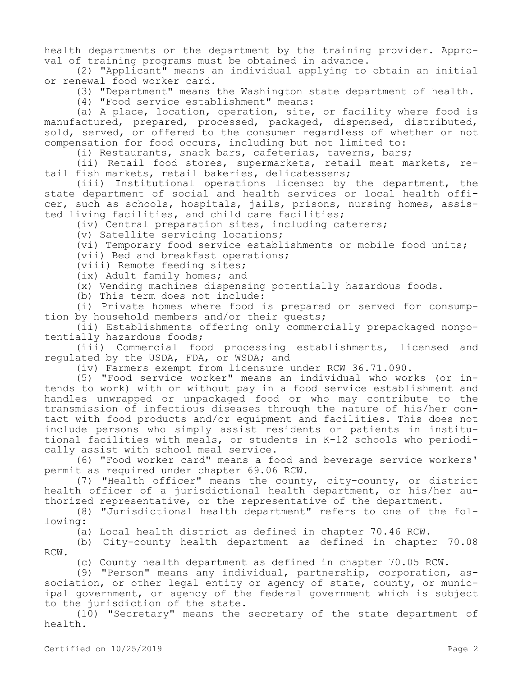health departments or the department by the training provider. Approval of training programs must be obtained in advance.

(2) "Applicant" means an individual applying to obtain an initial or renewal food worker card.

(3) "Department" means the Washington state department of health.

(4) "Food service establishment" means:

(a) A place, location, operation, site, or facility where food is manufactured, prepared, processed, packaged, dispensed, distributed, sold, served, or offered to the consumer regardless of whether or not compensation for food occurs, including but not limited to:

(i) Restaurants, snack bars, cafeterias, taverns, bars;

(ii) Retail food stores, supermarkets, retail meat markets, retail fish markets, retail bakeries, delicatessens;

(iii) Institutional operations licensed by the department, the state department of social and health services or local health officer, such as schools, hospitals, jails, prisons, nursing homes, assisted living facilities, and child care facilities;

(iv) Central preparation sites, including caterers;

(v) Satellite servicing locations;

(vi) Temporary food service establishments or mobile food units;

(vii) Bed and breakfast operations;

(viii) Remote feeding sites;

(ix) Adult family homes; and

(x) Vending machines dispensing potentially hazardous foods.

(b) This term does not include:

(i) Private homes where food is prepared or served for consumption by household members and/or their guests;

(ii) Establishments offering only commercially prepackaged nonpotentially hazardous foods;

(iii) Commercial food processing establishments, licensed and regulated by the USDA, FDA, or WSDA; and

(iv) Farmers exempt from licensure under RCW 36.71.090.

(5) "Food service worker" means an individual who works (or intends to work) with or without pay in a food service establishment and handles unwrapped or unpackaged food or who may contribute to the transmission of infectious diseases through the nature of his/her contact with food products and/or equipment and facilities. This does not include persons who simply assist residents or patients in institutional facilities with meals, or students in K-12 schools who periodically assist with school meal service.

(6) "Food worker card" means a food and beverage service workers' permit as required under chapter 69.06 RCW.

(7) "Health officer" means the county, city-county, or district health officer of a jurisdictional health department, or his/her authorized representative, or the representative of the department.

(8) "Jurisdictional health department" refers to one of the following:

(a) Local health district as defined in chapter 70.46 RCW.

(b) City-county health department as defined in chapter 70.08 RCW.

(c) County health department as defined in chapter 70.05 RCW.

(9) "Person" means any individual, partnership, corporation, association, or other legal entity or agency of state, county, or municipal government, or agency of the federal government which is subject to the jurisdiction of the state.

(10) "Secretary" means the secretary of the state department of health.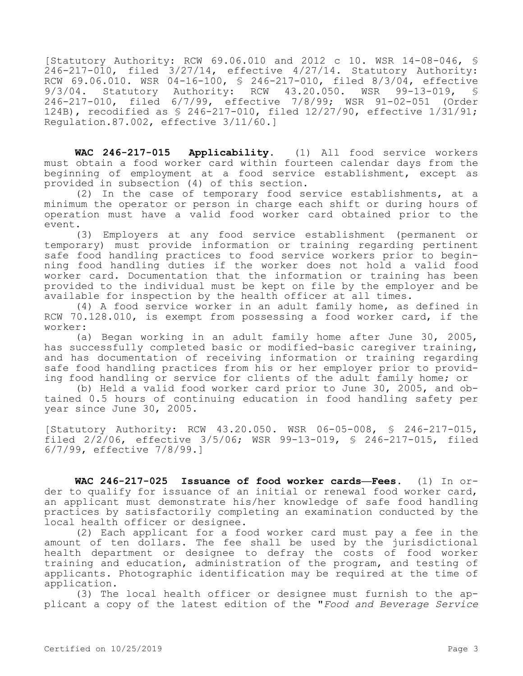[Statutory Authority: RCW 69.06.010 and 2012 c 10. WSR 14-08-046, §  $246 - 217 - 010$ , filed  $3/27/14$ , effective  $4/27/14$ . Statutory Authority: RCW 69.06.010. WSR 04-16-100, \$ 246-217-010, filed 8/3/04, effective<br>9/3/04. Statutory Authority: RCW 43.20.050. WSR 99-13-019, \$ Authority: RCW 43.20.050. WSR 99-13-019, § 246-217-010, filed 6/7/99, effective 7/8/99; WSR 91-02-051 (Order 124B), recodified as § 246-217-010, filed 12/27/90, effective 1/31/91; Regulation.87.002, effective 3/11/60.]

**WAC 246-217-015 Applicability.** (1) All food service workers must obtain a food worker card within fourteen calendar days from the beginning of employment at a food service establishment, except as provided in subsection (4) of this section.

(2) In the case of temporary food service establishments, at a minimum the operator or person in charge each shift or during hours of operation must have a valid food worker card obtained prior to the event.

(3) Employers at any food service establishment (permanent or temporary) must provide information or training regarding pertinent safe food handling practices to food service workers prior to beginning food handling duties if the worker does not hold a valid food worker card. Documentation that the information or training has been provided to the individual must be kept on file by the employer and be available for inspection by the health officer at all times.

(4) A food service worker in an adult family home, as defined in RCW 70.128.010, is exempt from possessing a food worker card, if the worker:

(a) Began working in an adult family home after June 30, 2005, has successfully completed basic or modified-basic caregiver training, and has documentation of receiving information or training regarding safe food handling practices from his or her employer prior to providing food handling or service for clients of the adult family home; or

(b) Held a valid food worker card prior to June 30, 2005, and obtained 0.5 hours of continuing education in food handling safety per year since June 30, 2005.

[Statutory Authority: RCW 43.20.050. WSR 06-05-008, § 246-217-015, filed 2/2/06, effective 3/5/06; WSR 99-13-019, § 246-217-015, filed 6/7/99, effective 7/8/99.]

**WAC 246-217-025 Issuance of food worker cards—Fees.** (1) In order to qualify for issuance of an initial or renewal food worker card, an applicant must demonstrate his/her knowledge of safe food handling practices by satisfactorily completing an examination conducted by the local health officer or designee.

(2) Each applicant for a food worker card must pay a fee in the amount of ten dollars. The fee shall be used by the jurisdictional health department or designee to defray the costs of food worker training and education, administration of the program, and testing of applicants. Photographic identification may be required at the time of application.

(3) The local health officer or designee must furnish to the applicant a copy of the latest edition of the "*Food and Beverage Service*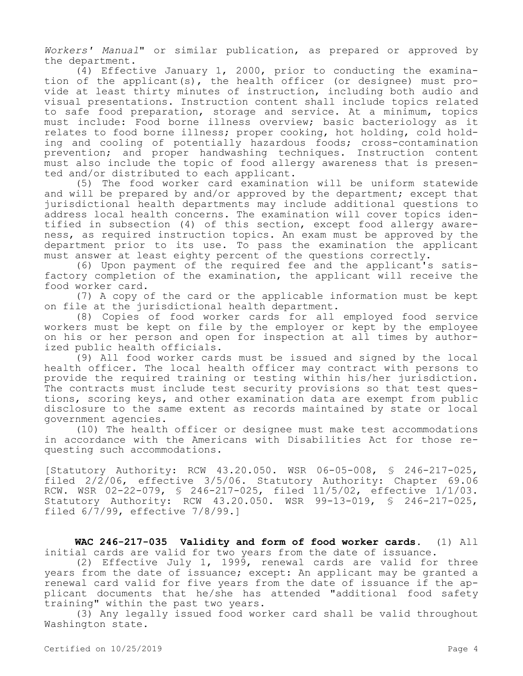*Workers' Manual*" or similar publication, as prepared or approved by the department.

(4) Effective January 1, 2000, prior to conducting the examination of the applicant(s), the health officer (or designee) must provide at least thirty minutes of instruction, including both audio and visual presentations. Instruction content shall include topics related to safe food preparation, storage and service. At a minimum, topics must include: Food borne illness overview; basic bacteriology as it relates to food borne illness; proper cooking, hot holding, cold holding and cooling of potentially hazardous foods; cross-contamination prevention; and proper handwashing techniques. Instruction content must also include the topic of food allergy awareness that is presented and/or distributed to each applicant.

(5) The food worker card examination will be uniform statewide and will be prepared by and/or approved by the department; except that jurisdictional health departments may include additional questions to address local health concerns. The examination will cover topics identified in subsection (4) of this section, except food allergy awareness, as required instruction topics. An exam must be approved by the department prior to its use. To pass the examination the applicant must answer at least eighty percent of the questions correctly.

(6) Upon payment of the required fee and the applicant's satisfactory completion of the examination, the applicant will receive the food worker card.

(7) A copy of the card or the applicable information must be kept on file at the jurisdictional health department.

(8) Copies of food worker cards for all employed food service workers must be kept on file by the employer or kept by the employee on his or her person and open for inspection at all times by authorized public health officials.

(9) All food worker cards must be issued and signed by the local health officer. The local health officer may contract with persons to provide the required training or testing within his/her jurisdiction. The contracts must include test security provisions so that test questions, scoring keys, and other examination data are exempt from public disclosure to the same extent as records maintained by state or local government agencies.

(10) The health officer or designee must make test accommodations in accordance with the Americans with Disabilities Act for those requesting such accommodations.

[Statutory Authority: RCW 43.20.050. WSR 06-05-008, § 246-217-025, filed 2/2/06, effective 3/5/06. Statutory Authority: Chapter 69.06 RCW. WSR 02-22-079, § 246-217-025, filed 11/5/02, effective 1/1/03. Statutory Authority: RCW 43.20.050. WSR 99-13-019, § 246-217-025, filed 6/7/99, effective 7/8/99.]

**WAC 246-217-035 Validity and form of food worker cards.** (1) All initial cards are valid for two years from the date of issuance.

(2) Effective July 1, 1999, renewal cards are valid for three years from the date of issuance; except: An applicant may be granted a renewal card valid for five years from the date of issuance if the applicant documents that he/she has attended "additional food safety training" within the past two years.

(3) Any legally issued food worker card shall be valid throughout Washington state.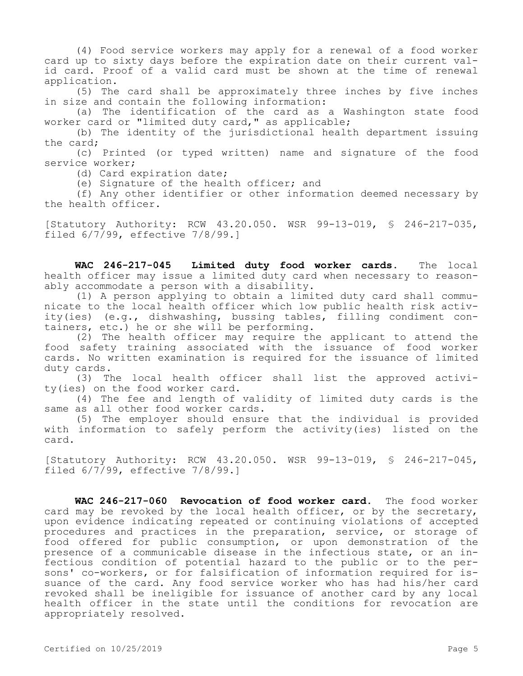(4) Food service workers may apply for a renewal of a food worker card up to sixty days before the expiration date on their current valid card. Proof of a valid card must be shown at the time of renewal application.

(5) The card shall be approximately three inches by five inches in size and contain the following information:

(a) The identification of the card as a Washington state food worker card or "limited duty card," as applicable;

(b) The identity of the jurisdictional health department issuing the card;

(c) Printed (or typed written) name and signature of the food service worker;

(d) Card expiration date;

(e) Signature of the health officer; and

(f) Any other identifier or other information deemed necessary by the health officer.

[Statutory Authority: RCW 43.20.050. WSR 99-13-019, § 246-217-035, filed 6/7/99, effective 7/8/99.]

**WAC 246-217-045 Limited duty food worker cards.** The local health officer may issue a limited duty card when necessary to reasonably accommodate a person with a disability.

(1) A person applying to obtain a limited duty card shall communicate to the local health officer which low public health risk activity(ies) (e.g., dishwashing, bussing tables, filling condiment containers, etc.) he or she will be performing.

(2) The health officer may require the applicant to attend the food safety training associated with the issuance of food worker cards. No written examination is required for the issuance of limited duty cards.

(3) The local health officer shall list the approved activity(ies) on the food worker card.

(4) The fee and length of validity of limited duty cards is the same as all other food worker cards.

(5) The employer should ensure that the individual is provided with information to safely perform the activity(ies) listed on the card.

[Statutory Authority: RCW 43.20.050. WSR 99-13-019, § 246-217-045, filed  $6/7/99$ , effective  $7/8/99.1$ 

**WAC 246-217-060 Revocation of food worker card.** The food worker card may be revoked by the local health officer, or by the secretary, upon evidence indicating repeated or continuing violations of accepted procedures and practices in the preparation, service, or storage of food offered for public consumption, or upon demonstration of the presence of a communicable disease in the infectious state, or an infectious condition of potential hazard to the public or to the persons' co-workers, or for falsification of information required for issuance of the card. Any food service worker who has had his/her card revoked shall be ineligible for issuance of another card by any local health officer in the state until the conditions for revocation are appropriately resolved.